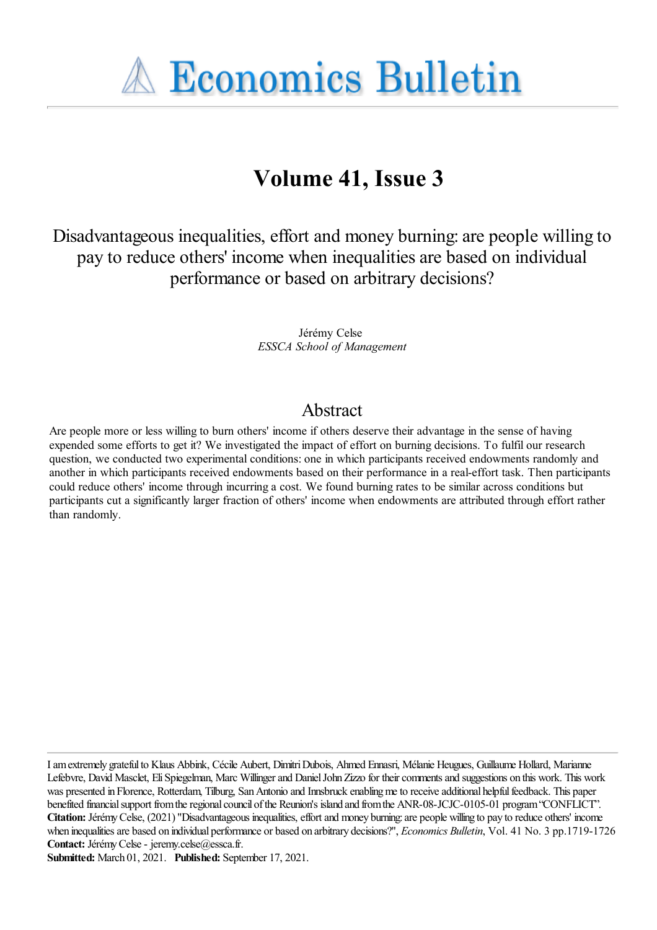**A Economics Bulletin** 

# **Volume 41, Issue 3**

Disadvantageous inequalities, effort and money burning: are people willing to pay to reduce others' income when inequalities are based on individual performance or based on arbitrary decisions?

> Jérémy Celse *ESSCA School of Management*

## Abstract

Are people more or less willing to burn others' income if others deserve their advantage in the sense of having expended some efforts to get it? We investigated the impact of effort on burning decisions. To fulfil our research question, we conducted two experimental conditions: one in which participants received endowments randomly and another in which participants received endowments based on their performance in a real-effort task. Then participants could reduce others' income through incurring a cost. We found burning rates to be similar across conditions but participants cut a significantly larger fraction of others' income when endowments are attributed through effort rather than randomly.

Iamextremely gratefulto Klaus Abbink, Cécile Aubert, DimitriDubois, Ahmed Ennasri, Mélanie Heugues, Guillaume Hollard, Marianne Lefebvre, David Masclet, Eli Spiegelman, Marc Willinger and Daniel John Zizzo for their comments and suggestions on this work. This work was presented in Florence, Rotterdam, Tilburg, San Antonio and Innsbruck enabling me to receive additional helpful feedback. This paper benefited financial support from the regional council of the Reunion's island and from the ANR-08-JCJC-0105-01 program "CONFLICT". **Citation:** JérémyCelse, (2021) ''Disadvantageous inequalities,effortand money burning:are people willing to pay to reduce others' income when inequalities are based on individual performance or based on arbitrary decisions?", *Economics Bulletin*, Vol. 41 No. 3 pp.1719-1726 Contact: Jérémy Celse - jeremy.celse@essca.fr.

**Submitted:** March 01, 2021. **Published:** September 17, 2021.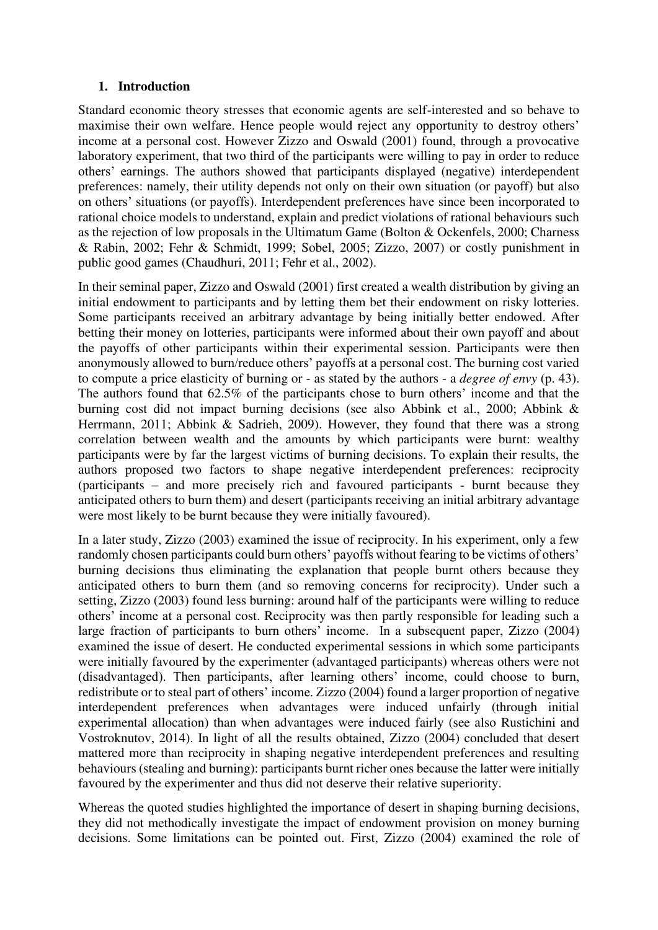#### **1. Introduction**

Standard economic theory stresses that economic agents are self-interested and so behave to maximise their own welfare. Hence people would reject any opportunity to destroy others' income at a personal cost. However Zizzo and Oswald (2001) found, through a provocative laboratory experiment, that two third of the participants were willing to pay in order to reduce others' earnings. The authors showed that participants displayed (negative) interdependent preferences: namely, their utility depends not only on their own situation (or payoff) but also on others' situations (or payoffs). Interdependent preferences have since been incorporated to rational choice models to understand, explain and predict violations of rational behaviours such as the rejection of low proposals in the Ultimatum Game (Bolton & Ockenfels, 2000; Charness & Rabin, 2002; Fehr & Schmidt, 1999; Sobel, 2005; Zizzo, 2007) or costly punishment in public good games (Chaudhuri, 2011; Fehr et al., 2002).

In their seminal paper, Zizzo and Oswald (2001) first created a wealth distribution by giving an initial endowment to participants and by letting them bet their endowment on risky lotteries. Some participants received an arbitrary advantage by being initially better endowed. After betting their money on lotteries, participants were informed about their own payoff and about the payoffs of other participants within their experimental session. Participants were then anonymously allowed to burn/reduce others' payoffs at a personal cost. The burning cost varied to compute a price elasticity of burning or - as stated by the authors - a *degree of envy* (p. 43). The authors found that 62.5% of the participants chose to burn others' income and that the burning cost did not impact burning decisions (see also Abbink et al., 2000; Abbink & Herrmann, 2011; Abbink & Sadrieh, 2009). However, they found that there was a strong correlation between wealth and the amounts by which participants were burnt: wealthy participants were by far the largest victims of burning decisions. To explain their results, the authors proposed two factors to shape negative interdependent preferences: reciprocity (participants – and more precisely rich and favoured participants - burnt because they anticipated others to burn them) and desert (participants receiving an initial arbitrary advantage were most likely to be burnt because they were initially favoured).

In a later study, Zizzo (2003) examined the issue of reciprocity. In his experiment, only a few randomly chosen participants could burn others' payoffs without fearing to be victims of others' burning decisions thus eliminating the explanation that people burnt others because they anticipated others to burn them (and so removing concerns for reciprocity). Under such a setting, Zizzo (2003) found less burning: around half of the participants were willing to reduce others' income at a personal cost. Reciprocity was then partly responsible for leading such a large fraction of participants to burn others' income. In a subsequent paper, Zizzo (2004) examined the issue of desert. He conducted experimental sessions in which some participants were initially favoured by the experimenter (advantaged participants) whereas others were not (disadvantaged). Then participants, after learning others' income, could choose to burn, redistribute or to steal part of others' income. Zizzo (2004) found a larger proportion of negative interdependent preferences when advantages were induced unfairly (through initial experimental allocation) than when advantages were induced fairly (see also Rustichini and Vostroknutov, 2014). In light of all the results obtained, Zizzo (2004) concluded that desert mattered more than reciprocity in shaping negative interdependent preferences and resulting behaviours (stealing and burning): participants burnt richer ones because the latter were initially favoured by the experimenter and thus did not deserve their relative superiority.

Whereas the quoted studies highlighted the importance of desert in shaping burning decisions, they did not methodically investigate the impact of endowment provision on money burning decisions. Some limitations can be pointed out. First, Zizzo (2004) examined the role of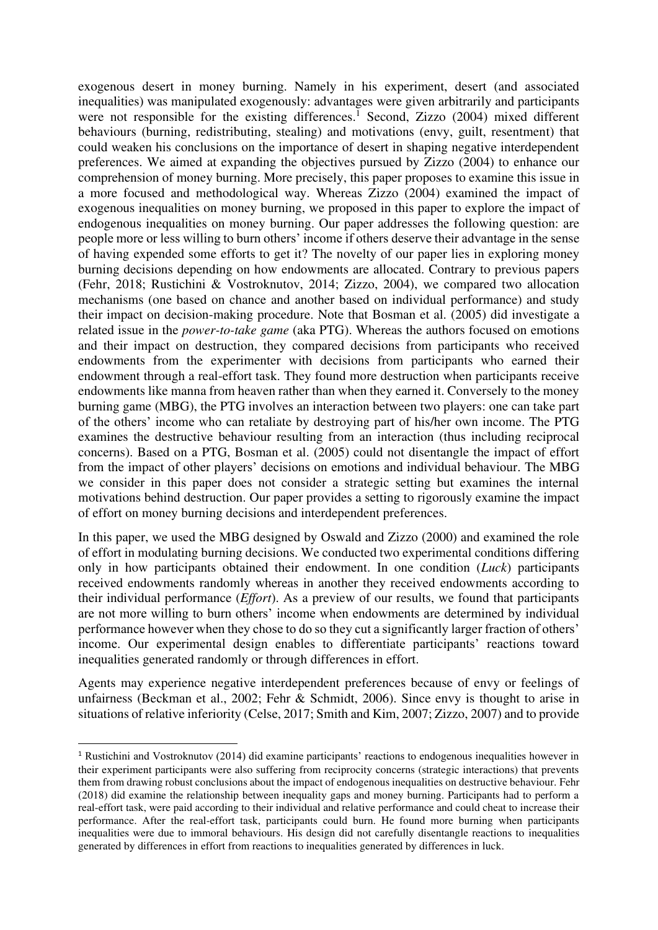exogenous desert in money burning. Namely in his experiment, desert (and associated inequalities) was manipulated exogenously: advantages were given arbitrarily and participants were not responsible for the existing differences.<sup>1</sup> Second, Zizzo  $(2004)$  mixed different behaviours (burning, redistributing, stealing) and motivations (envy, guilt, resentment) that could weaken his conclusions on the importance of desert in shaping negative interdependent preferences. We aimed at expanding the objectives pursued by Zizzo (2004) to enhance our comprehension of money burning. More precisely, this paper proposes to examine this issue in a more focused and methodological way. Whereas Zizzo (2004) examined the impact of exogenous inequalities on money burning, we proposed in this paper to explore the impact of endogenous inequalities on money burning. Our paper addresses the following question: are people more or less willing to burn others' income if others deserve their advantage in the sense of having expended some efforts to get it? The novelty of our paper lies in exploring money burning decisions depending on how endowments are allocated. Contrary to previous papers (Fehr, 2018; Rustichini & Vostroknutov, 2014; Zizzo, 2004), we compared two allocation mechanisms (one based on chance and another based on individual performance) and study their impact on decision-making procedure. Note that Bosman et al. (2005) did investigate a related issue in the *power-to-take game* (aka PTG). Whereas the authors focused on emotions and their impact on destruction, they compared decisions from participants who received endowments from the experimenter with decisions from participants who earned their endowment through a real-effort task. They found more destruction when participants receive endowments like manna from heaven rather than when they earned it. Conversely to the money burning game (MBG), the PTG involves an interaction between two players: one can take part of the others' income who can retaliate by destroying part of his/her own income. The PTG examines the destructive behaviour resulting from an interaction (thus including reciprocal concerns). Based on a PTG, Bosman et al. (2005) could not disentangle the impact of effort from the impact of other players' decisions on emotions and individual behaviour. The MBG we consider in this paper does not consider a strategic setting but examines the internal motivations behind destruction. Our paper provides a setting to rigorously examine the impact of effort on money burning decisions and interdependent preferences.

In this paper, we used the MBG designed by Oswald and Zizzo (2000) and examined the role of effort in modulating burning decisions. We conducted two experimental conditions differing only in how participants obtained their endowment. In one condition (*Luck*) participants received endowments randomly whereas in another they received endowments according to their individual performance (*Effort*). As a preview of our results, we found that participants are not more willing to burn others' income when endowments are determined by individual performance however when they chose to do so they cut a significantly larger fraction of others' income. Our experimental design enables to differentiate participants' reactions toward inequalities generated randomly or through differences in effort.

Agents may experience negative interdependent preferences because of envy or feelings of unfairness (Beckman et al., 2002; Fehr & Schmidt, 2006). Since envy is thought to arise in situations of relative inferiority (Celse, 2017; Smith and Kim, 2007; Zizzo, 2007) and to provide

<sup>1</sup> Rustichini and Vostroknutov (2014) did examine participants' reactions to endogenous inequalities however in their experiment participants were also suffering from reciprocity concerns (strategic interactions) that prevents them from drawing robust conclusions about the impact of endogenous inequalities on destructive behaviour. Fehr (2018) did examine the relationship between inequality gaps and money burning. Participants had to perform a real-effort task, were paid according to their individual and relative performance and could cheat to increase their performance. After the real-effort task, participants could burn. He found more burning when participants inequalities were due to immoral behaviours. His design did not carefully disentangle reactions to inequalities generated by differences in effort from reactions to inequalities generated by differences in luck.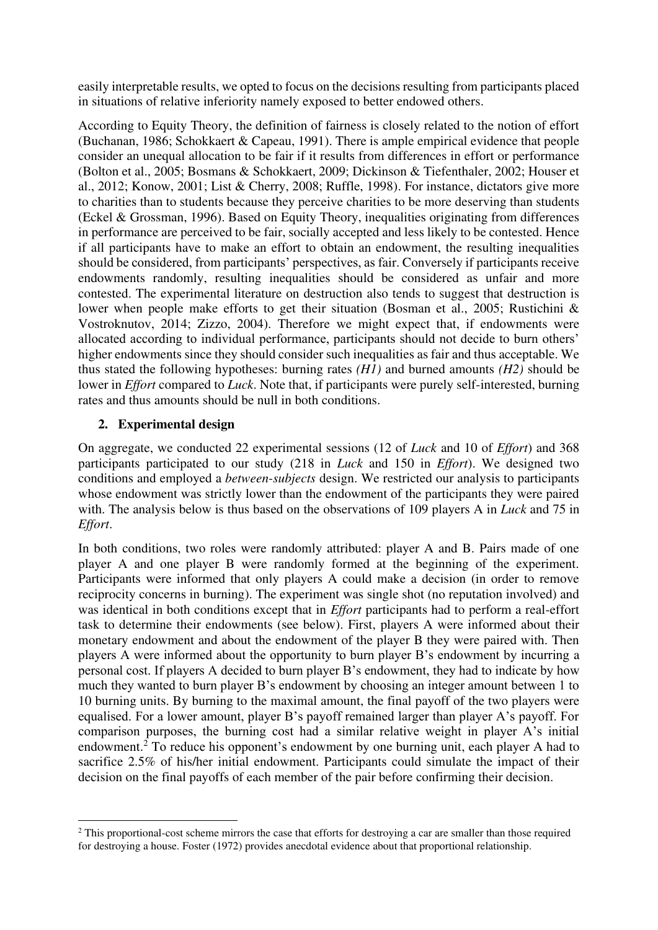easily interpretable results, we opted to focus on the decisions resulting from participants placed in situations of relative inferiority namely exposed to better endowed others.

According to Equity Theory, the definition of fairness is closely related to the notion of effort (Buchanan, 1986; Schokkaert & Capeau, 1991). There is ample empirical evidence that people consider an unequal allocation to be fair if it results from differences in effort or performance (Bolton et al., 2005; Bosmans & Schokkaert, 2009; Dickinson & Tiefenthaler, 2002; Houser et al., 2012; Konow, 2001; List & Cherry, 2008; Ruffle, 1998). For instance, dictators give more to charities than to students because they perceive charities to be more deserving than students (Eckel & Grossman, 1996). Based on Equity Theory, inequalities originating from differences in performance are perceived to be fair, socially accepted and less likely to be contested. Hence if all participants have to make an effort to obtain an endowment, the resulting inequalities should be considered, from participants' perspectives, as fair. Conversely if participants receive endowments randomly, resulting inequalities should be considered as unfair and more contested. The experimental literature on destruction also tends to suggest that destruction is lower when people make efforts to get their situation (Bosman et al., 2005; Rustichini & Vostroknutov, 2014; Zizzo, 2004). Therefore we might expect that, if endowments were allocated according to individual performance, participants should not decide to burn others' higher endowments since they should consider such inequalities as fair and thus acceptable. We thus stated the following hypotheses: burning rates *(H1)* and burned amounts *(H2)* should be lower in *Effort* compared to *Luck*. Note that, if participants were purely self-interested, burning rates and thus amounts should be null in both conditions.

## **2. Experimental design**

On aggregate, we conducted 22 experimental sessions (12 of *Luck* and 10 of *Effort*) and 368 participants participated to our study (218 in *Luck* and 150 in *Effort*). We designed two conditions and employed a *between-subjects* design. We restricted our analysis to participants whose endowment was strictly lower than the endowment of the participants they were paired with. The analysis below is thus based on the observations of 109 players A in *Luck* and 75 in *Effort*.

In both conditions, two roles were randomly attributed: player A and B. Pairs made of one player A and one player B were randomly formed at the beginning of the experiment. Participants were informed that only players A could make a decision (in order to remove reciprocity concerns in burning). The experiment was single shot (no reputation involved) and was identical in both conditions except that in *Effort* participants had to perform a real-effort task to determine their endowments (see below). First, players A were informed about their monetary endowment and about the endowment of the player B they were paired with. Then players A were informed about the opportunity to burn player B's endowment by incurring a personal cost. If players A decided to burn player B's endowment, they had to indicate by how much they wanted to burn player B's endowment by choosing an integer amount between 1 to 10 burning units. By burning to the maximal amount, the final payoff of the two players were equalised. For a lower amount, player B's payoff remained larger than player A's payoff. For comparison purposes, the burning cost had a similar relative weight in player A's initial endowment.<sup>2</sup> To reduce his opponent's endowment by one burning unit, each player A had to sacrifice 2.5% of his/her initial endowment. Participants could simulate the impact of their decision on the final payoffs of each member of the pair before confirming their decision.

<sup>&</sup>lt;sup>2</sup> This proportional-cost scheme mirrors the case that efforts for destroying a car are smaller than those required for destroying a house. Foster (1972) provides anecdotal evidence about that proportional relationship.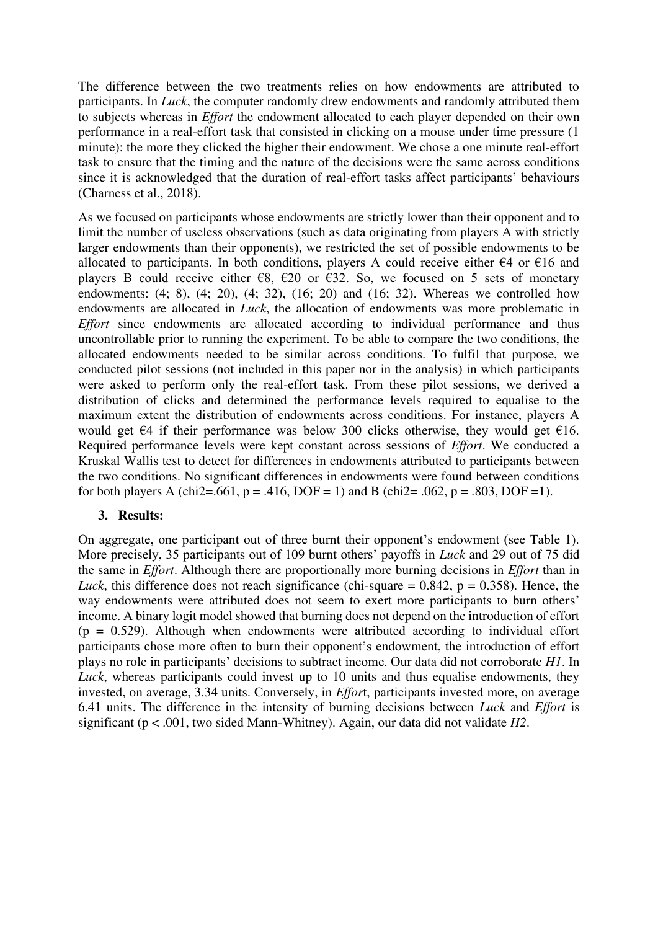The difference between the two treatments relies on how endowments are attributed to participants. In *Luck*, the computer randomly drew endowments and randomly attributed them to subjects whereas in *Effort* the endowment allocated to each player depended on their own performance in a real-effort task that consisted in clicking on a mouse under time pressure (1 minute): the more they clicked the higher their endowment. We chose a one minute real-effort task to ensure that the timing and the nature of the decisions were the same across conditions since it is acknowledged that the duration of real-effort tasks affect participants' behaviours (Charness et al., 2018).

As we focused on participants whose endowments are strictly lower than their opponent and to limit the number of useless observations (such as data originating from players A with strictly larger endowments than their opponents), we restricted the set of possible endowments to be allocated to participants. In both conditions, players A could receive either  $\epsilon$ 4 or  $\epsilon$ 16 and players B could receive either  $\epsilon$ 8,  $\epsilon$ 20 or  $\epsilon$ 32. So, we focused on 5 sets of monetary endowments: (4; 8), (4; 20), (4; 32), (16; 20) and (16; 32). Whereas we controlled how endowments are allocated in *Luck*, the allocation of endowments was more problematic in *Effort* since endowments are allocated according to individual performance and thus uncontrollable prior to running the experiment. To be able to compare the two conditions, the allocated endowments needed to be similar across conditions. To fulfil that purpose, we conducted pilot sessions (not included in this paper nor in the analysis) in which participants were asked to perform only the real-effort task. From these pilot sessions, we derived a distribution of clicks and determined the performance levels required to equalise to the maximum extent the distribution of endowments across conditions. For instance, players A would get  $\epsilon$ 4 if their performance was below 300 clicks otherwise, they would get  $\epsilon$ 16. Required performance levels were kept constant across sessions of *Effort*. We conducted a Kruskal Wallis test to detect for differences in endowments attributed to participants between the two conditions. No significant differences in endowments were found between conditions for both players A (chi2=.661, p = .416, DOF = 1) and B (chi2= .062, p = .803, DOF = 1).

#### **3. Results:**

On aggregate, one participant out of three burnt their opponent's endowment (see Table 1). More precisely, 35 participants out of 109 burnt others' payoffs in *Luck* and 29 out of 75 did the same in *Effort*. Although there are proportionally more burning decisions in *Effort* than in *Luck*, this difference does not reach significance (chi-square  $= 0.842$ ,  $p = 0.358$ ). Hence, the way endowments were attributed does not seem to exert more participants to burn others' income. A binary logit model showed that burning does not depend on the introduction of effort  $(p = 0.529)$ . Although when endowments were attributed according to individual effort participants chose more often to burn their opponent's endowment, the introduction of effort plays no role in participants' decisions to subtract income. Our data did not corroborate *H1*. In *Luck*, whereas participants could invest up to 10 units and thus equalise endowments, they invested, on average, 3.34 units. Conversely, in *Effor*t, participants invested more, on average 6.41 units. The difference in the intensity of burning decisions between *Luck* and *Effort* is significant (p < .001, two sided Mann-Whitney). Again, our data did not validate *H2*.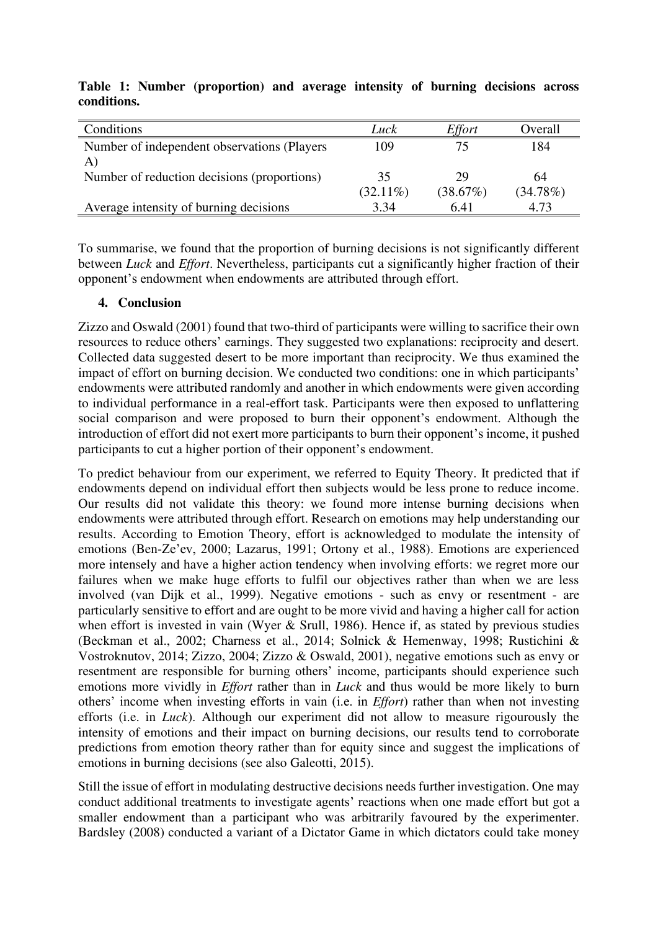| Conditions                                   | Luck        | Effort   | Overall  |
|----------------------------------------------|-------------|----------|----------|
| Number of independent observations (Players) | 109         |          | 184      |
| A)                                           |             |          |          |
| Number of reduction decisions (proportions)  | 35          | 29       | 64       |
|                                              | $(32.11\%)$ | (38.67%) | (34.78%) |
| Average intensity of burning decisions       | 3.34        | 6.41     | 4.73     |

**Table 1: Number (proportion) and average intensity of burning decisions across conditions.** 

To summarise, we found that the proportion of burning decisions is not significantly different between *Luck* and *Effort*. Nevertheless, participants cut a significantly higher fraction of their opponent's endowment when endowments are attributed through effort.

### **4. Conclusion**

Zizzo and Oswald (2001) found that two-third of participants were willing to sacrifice their own resources to reduce others' earnings. They suggested two explanations: reciprocity and desert. Collected data suggested desert to be more important than reciprocity. We thus examined the impact of effort on burning decision. We conducted two conditions: one in which participants' endowments were attributed randomly and another in which endowments were given according to individual performance in a real-effort task. Participants were then exposed to unflattering social comparison and were proposed to burn their opponent's endowment. Although the introduction of effort did not exert more participants to burn their opponent's income, it pushed participants to cut a higher portion of their opponent's endowment.

To predict behaviour from our experiment, we referred to Equity Theory. It predicted that if endowments depend on individual effort then subjects would be less prone to reduce income. Our results did not validate this theory: we found more intense burning decisions when endowments were attributed through effort. Research on emotions may help understanding our results. According to Emotion Theory, effort is acknowledged to modulate the intensity of emotions (Ben-Ze'ev, 2000; Lazarus, 1991; Ortony et al., 1988). Emotions are experienced more intensely and have a higher action tendency when involving efforts: we regret more our failures when we make huge efforts to fulfil our objectives rather than when we are less involved (van Dijk et al., 1999). Negative emotions - such as envy or resentment - are particularly sensitive to effort and are ought to be more vivid and having a higher call for action when effort is invested in vain (Wyer & Srull, 1986). Hence if, as stated by previous studies (Beckman et al., 2002; Charness et al., 2014; Solnick & Hemenway, 1998; Rustichini & Vostroknutov, 2014; Zizzo, 2004; Zizzo & Oswald, 2001), negative emotions such as envy or resentment are responsible for burning others' income, participants should experience such emotions more vividly in *Effort* rather than in *Luck* and thus would be more likely to burn others' income when investing efforts in vain (i.e. in *Effort*) rather than when not investing efforts (i.e. in *Luck*). Although our experiment did not allow to measure rigourously the intensity of emotions and their impact on burning decisions, our results tend to corroborate predictions from emotion theory rather than for equity since and suggest the implications of emotions in burning decisions (see also Galeotti, 2015).

Still the issue of effort in modulating destructive decisions needs further investigation. One may conduct additional treatments to investigate agents' reactions when one made effort but got a smaller endowment than a participant who was arbitrarily favoured by the experimenter. Bardsley (2008) conducted a variant of a Dictator Game in which dictators could take money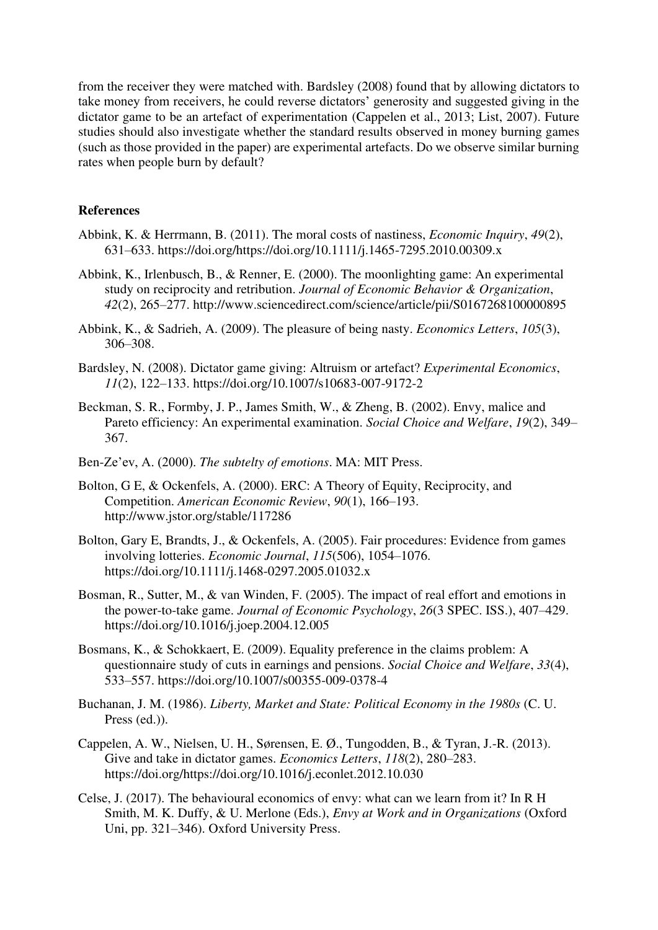from the receiver they were matched with. Bardsley (2008) found that by allowing dictators to take money from receivers, he could reverse dictators' generosity and suggested giving in the dictator game to be an artefact of experimentation (Cappelen et al., 2013; List, 2007). Future studies should also investigate whether the standard results observed in money burning games (such as those provided in the paper) are experimental artefacts. Do we observe similar burning rates when people burn by default?

#### **References**

- Abbink, K. & Herrmann, B. (2011). The moral costs of nastiness, *Economic Inquiry*, *49*(2), 631–633. https://doi.org/https://doi.org/10.1111/j.1465-7295.2010.00309.x
- Abbink, K., Irlenbusch, B., & Renner, E. (2000). The moonlighting game: An experimental study on reciprocity and retribution. *Journal of Economic Behavior & Organization*, *42*(2), 265–277. http://www.sciencedirect.com/science/article/pii/S0167268100000895
- Abbink, K., & Sadrieh, A. (2009). The pleasure of being nasty. *Economics Letters*, *105*(3), 306–308.
- Bardsley, N. (2008). Dictator game giving: Altruism or artefact? *Experimental Economics*, *11*(2), 122–133. https://doi.org/10.1007/s10683-007-9172-2
- Beckman, S. R., Formby, J. P., James Smith, W., & Zheng, B. (2002). Envy, malice and Pareto efficiency: An experimental examination. *Social Choice and Welfare*, *19*(2), 349– 367.
- Ben-Ze'ev, A. (2000). *The subtelty of emotions*. MA: MIT Press.
- Bolton, G E, & Ockenfels, A. (2000). ERC: A Theory of Equity, Reciprocity, and Competition. *American Economic Review*, *90*(1), 166–193. http://www.jstor.org/stable/117286
- Bolton, Gary E, Brandts, J., & Ockenfels, A. (2005). Fair procedures: Evidence from games involving lotteries. *Economic Journal*, *115*(506), 1054–1076. https://doi.org/10.1111/j.1468-0297.2005.01032.x
- Bosman, R., Sutter, M., & van Winden, F. (2005). The impact of real effort and emotions in the power-to-take game. *Journal of Economic Psychology*, *26*(3 SPEC. ISS.), 407–429. https://doi.org/10.1016/j.joep.2004.12.005
- Bosmans, K., & Schokkaert, E. (2009). Equality preference in the claims problem: A questionnaire study of cuts in earnings and pensions. *Social Choice and Welfare*, *33*(4), 533–557. https://doi.org/10.1007/s00355-009-0378-4
- Buchanan, J. M. (1986). *Liberty, Market and State: Political Economy in the 1980s* (C. U. Press (ed.)).
- Cappelen, A. W., Nielsen, U. H., Sørensen, E. Ø., Tungodden, B., & Tyran, J.-R. (2013). Give and take in dictator games. *Economics Letters*, *118*(2), 280–283. https://doi.org/https://doi.org/10.1016/j.econlet.2012.10.030
- Celse, J. (2017). The behavioural economics of envy: what can we learn from it? In R H Smith, M. K. Duffy, & U. Merlone (Eds.), *Envy at Work and in Organizations* (Oxford Uni, pp. 321–346). Oxford University Press.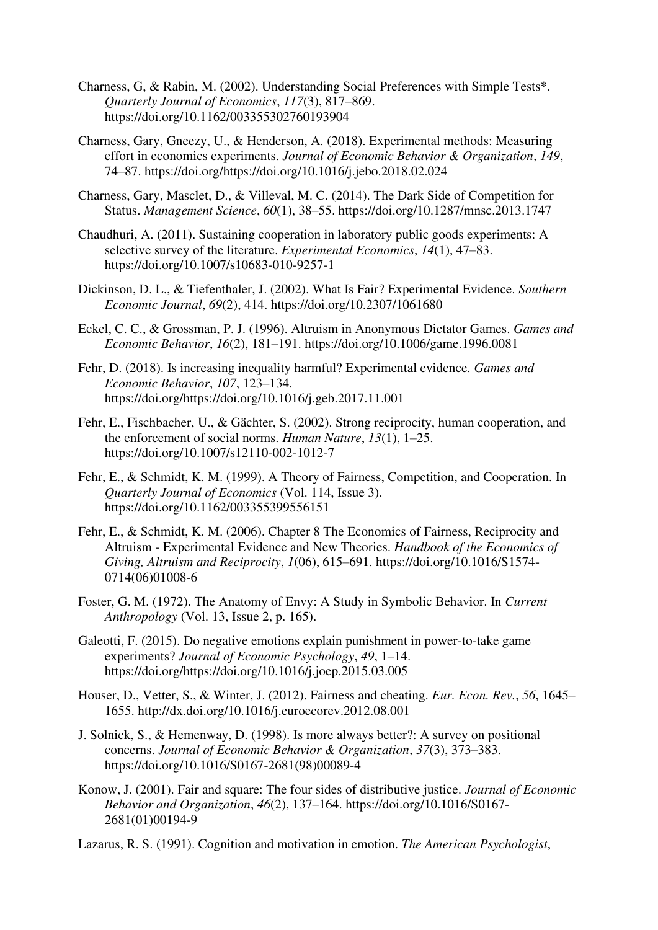- Charness, G, & Rabin, M. (2002). Understanding Social Preferences with Simple Tests\*. *Quarterly Journal of Economics*, *117*(3), 817–869. https://doi.org/10.1162/003355302760193904
- Charness, Gary, Gneezy, U., & Henderson, A. (2018). Experimental methods: Measuring effort in economics experiments. *Journal of Economic Behavior & Organization*, *149*, 74–87. https://doi.org/https://doi.org/10.1016/j.jebo.2018.02.024
- Charness, Gary, Masclet, D., & Villeval, M. C. (2014). The Dark Side of Competition for Status. *Management Science*, *60*(1), 38–55. https://doi.org/10.1287/mnsc.2013.1747
- Chaudhuri, A. (2011). Sustaining cooperation in laboratory public goods experiments: A selective survey of the literature. *Experimental Economics*, *14*(1), 47–83. https://doi.org/10.1007/s10683-010-9257-1
- Dickinson, D. L., & Tiefenthaler, J. (2002). What Is Fair? Experimental Evidence. *Southern Economic Journal*, *69*(2), 414. https://doi.org/10.2307/1061680
- Eckel, C. C., & Grossman, P. J. (1996). Altruism in Anonymous Dictator Games. *Games and Economic Behavior*, *16*(2), 181–191. https://doi.org/10.1006/game.1996.0081
- Fehr, D. (2018). Is increasing inequality harmful? Experimental evidence. *Games and Economic Behavior*, *107*, 123–134. https://doi.org/https://doi.org/10.1016/j.geb.2017.11.001
- Fehr, E., Fischbacher, U., & Gächter, S. (2002). Strong reciprocity, human cooperation, and the enforcement of social norms. *Human Nature*, *13*(1), 1–25. https://doi.org/10.1007/s12110-002-1012-7
- Fehr, E., & Schmidt, K. M. (1999). A Theory of Fairness, Competition, and Cooperation. In *Quarterly Journal of Economics* (Vol. 114, Issue 3). https://doi.org/10.1162/003355399556151
- Fehr, E., & Schmidt, K. M. (2006). Chapter 8 The Economics of Fairness, Reciprocity and Altruism - Experimental Evidence and New Theories. *Handbook of the Economics of Giving, Altruism and Reciprocity*, *1*(06), 615–691. https://doi.org/10.1016/S1574- 0714(06)01008-6
- Foster, G. M. (1972). The Anatomy of Envy: A Study in Symbolic Behavior. In *Current Anthropology* (Vol. 13, Issue 2, p. 165).
- Galeotti, F. (2015). Do negative emotions explain punishment in power-to-take game experiments? *Journal of Economic Psychology*, *49*, 1–14. https://doi.org/https://doi.org/10.1016/j.joep.2015.03.005
- Houser, D., Vetter, S., & Winter, J. (2012). Fairness and cheating. *Eur. Econ. Rev.*, *56*, 1645– 1655. http://dx.doi.org/10.1016/j.euroecorev.2012.08.001
- J. Solnick, S., & Hemenway, D. (1998). Is more always better?: A survey on positional concerns. *Journal of Economic Behavior & Organization*, *37*(3), 373–383. https://doi.org/10.1016/S0167-2681(98)00089-4
- Konow, J. (2001). Fair and square: The four sides of distributive justice. *Journal of Economic Behavior and Organization*, *46*(2), 137–164. https://doi.org/10.1016/S0167- 2681(01)00194-9

Lazarus, R. S. (1991). Cognition and motivation in emotion. *The American Psychologist*,